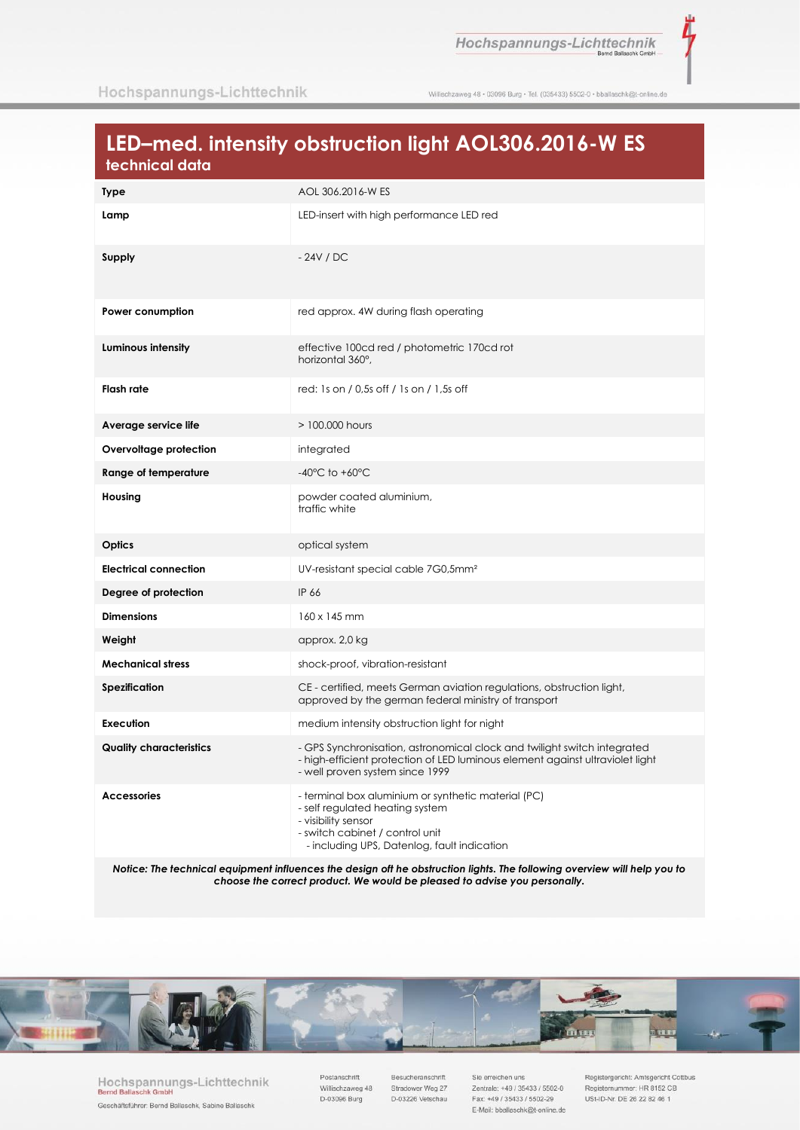ī

Willischzaweg 48 · 03096 Burg · Tel. (035433) 5502-0 · bballaschk@t-online.de

## LED-med. intensity obstruction light AOL306.2016-W ES technical data

| <b>Type</b>                    | AOL 306.2016-W ES                                                                                                                                                                               |
|--------------------------------|-------------------------------------------------------------------------------------------------------------------------------------------------------------------------------------------------|
| Lamp                           | LED-insert with high performance LED red                                                                                                                                                        |
| Supply                         | $-24V$ / DC                                                                                                                                                                                     |
| Power conumption               | red approx. 4W during flash operating                                                                                                                                                           |
| Luminous intensity             | effective 100cd red / photometric 170cd rot<br>horizontal 360°.                                                                                                                                 |
| Flash rate                     | red: 1s on / 0,5s off / 1s on / 1,5s off                                                                                                                                                        |
| Average service life           | $>100,000$ hours                                                                                                                                                                                |
| Overvoltage protection         | integrated                                                                                                                                                                                      |
| Range of temperature           | $-40^{\circ}$ C to $+60^{\circ}$ C                                                                                                                                                              |
| Housing                        | powder coated aluminium,<br>traffic white                                                                                                                                                       |
| Optics                         | optical system                                                                                                                                                                                  |
| <b>Electrical connection</b>   | UV-resistant special cable 7G0,5mm <sup>2</sup>                                                                                                                                                 |
| Degree of protection           | IP 66                                                                                                                                                                                           |
| <b>Dimensions</b>              | 160 x 145 mm                                                                                                                                                                                    |
| Weight                         | approx. 2,0 kg                                                                                                                                                                                  |
| <b>Mechanical stress</b>       | shock-proof, vibration-resistant                                                                                                                                                                |
| <b>Spezification</b>           | CE - certified, meets German aviation regulations, obstruction light,<br>approved by the german federal ministry of transport                                                                   |
| Execution                      | medium intensity obstruction light for night                                                                                                                                                    |
| <b>Quality characteristics</b> | - GPS Synchronisation, astronomical clock and twilight switch integrated<br>- high-efficient protection of LED luminous element against ultraviolet light<br>- well proven system since 1999    |
| <b>Accessories</b>             | - terminal box aluminium or synthetic material (PC)<br>- self regulated heating system<br>- visibility sensor<br>- switch cabinet / control unit<br>- including UPS, Datenlog, fault indication |

Notice: The technical equipment influences the design oft he obstruction lights. The following overview will help you to choose the correct product. We would be pleased to advise you personally.



Hochspannungs-Lichttechnik **Bernd Ballas** chk G Geschäftsführer: Bernd Ballaschk, Sabine Ballaschk

Postanschrift Willischzaweg 48 D-03096 Burg

Besucheranschrift Stradower Weg 27 D-03226 Vetschau

Sie erreichen uns Zentrale: +49 / 35433 / 5502-0 Fax: +49 / 35433 / 5502-29 E-Mail: bballaschk@t-online.de Registergericht: Amtsgericht Cottbus Registernummer: HR 8152 CB USt-ID-Nr. DE 26 22 82 46 1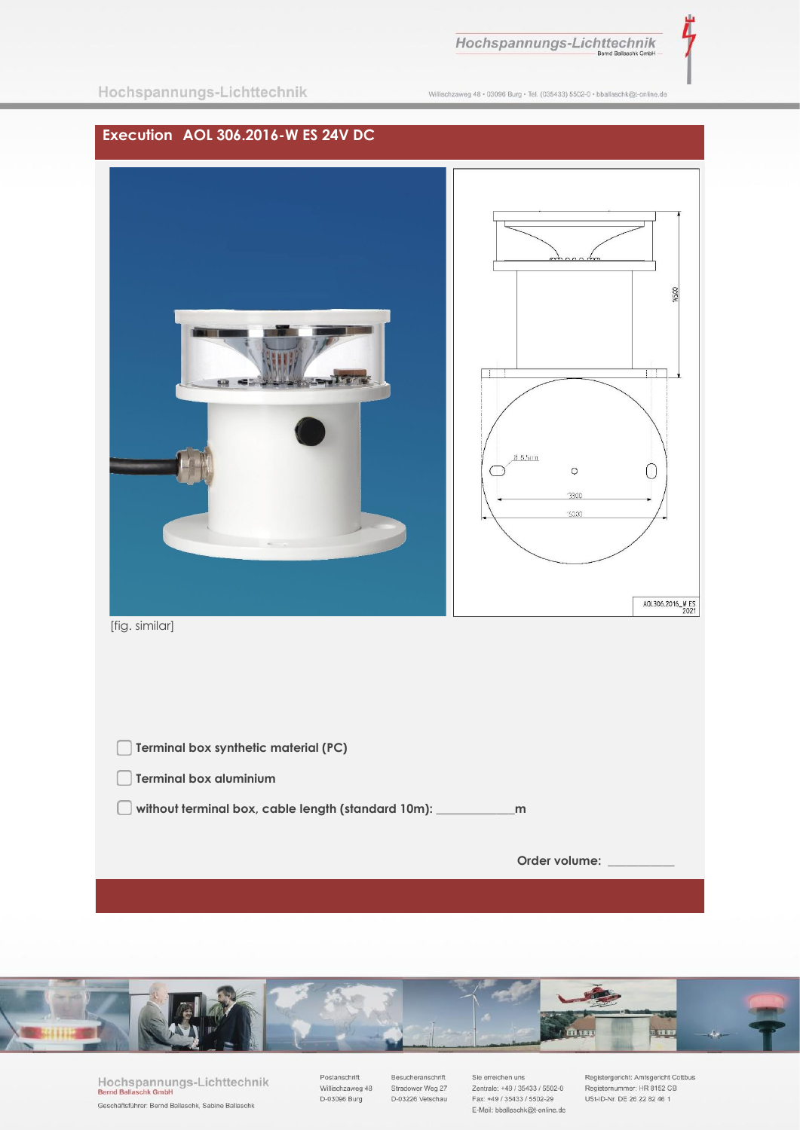Hochspannungs-Lichttechnik

Willischzaweg 48 · 03096 Burg · Tel. (035433) 5502-0 · bballaschk@t-online.de





Hochspannungs-Lichttechnik Bernd Balla schk Gmbl Geschäftsführer: Bernd Ballaschk, Sabine Ballaschk

Postanschrift Willischzaweg 48 D-03096 Burg

Besucheranschrift Stradower Weg 27 D-03226 Vetschau

Sie erreichen uns Zentrale: +49 / 35433 / 5502-0 Fax: +49 / 35433 / 5502-29 E-Mail: bballaschk@t-online.de Registergericht: Amtsgericht Cottbus Registernummer: HR 8152 CB USt-ID-Nr. DE 26 22 82 46 1